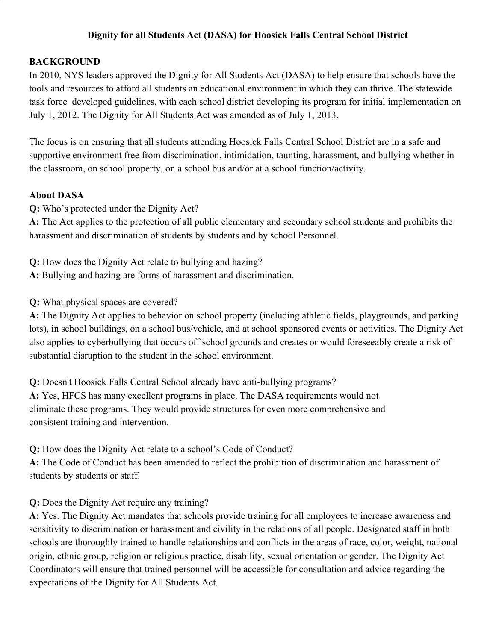## **Dignity for all Students Act (DASA) for Hoosick Falls Central School District**

## **BACKGROUND**

In 2010, NYS leaders approved the Dignity for All Students Act (DASA) to help ensure that schools have the tools and resources to afford all students an educational environment in which they can thrive. The statewide task force developed guidelines, with each school district developing its program for initial implementation on July 1, 2012. The Dignity for All Students Act was amended as of July 1, 2013.

The focus is on ensuring that all students attending Hoosick Falls Central School District are in a safe and supportive environment free from discrimination, intimidation, taunting, harassment, and bullying whether in the classroom, on school property, on a school bus and/or at a school function/activity.

#### **About DASA**

**Q:** Who's protected under the Dignity Act?

**A:** The Act applies to the protection of all public elementary and secondary school students and prohibits the harassment and discrimination of students by students and by school Personnel.

**Q:** How does the Dignity Act relate to bullying and hazing?

**A:** Bullying and hazing are forms of harassment and discrimination.

**Q:** What physical spaces are covered?

**A:** The Dignity Act applies to behavior on school property (including athletic fields, playgrounds, and parking lots), in school buildings, on a school bus/vehicle, and at school sponsored events or activities. The Dignity Act also applies to cyberbullying that occurs off school grounds and creates or would foreseeably create a risk of substantial disruption to the student in the school environment.

**Q:** Doesn't Hoosick Falls Central School already have anti-bullying programs? **A:** Yes, HFCS has many excellent programs in place. The DASA requirements would not eliminate these programs. They would provide structures for even more comprehensive and consistent training and intervention.

**Q:** How does the Dignity Act relate to a school's Code of Conduct?

**A:** The Code of Conduct has been amended to reflect the prohibition of discrimination and harassment of students by students or staff.

#### **Q:** Does the Dignity Act require any training?

**A:** Yes. The Dignity Act mandates that schools provide training for all employees to increase awareness and sensitivity to discrimination or harassment and civility in the relations of all people. Designated staff in both schools are thoroughly trained to handle relationships and conflicts in the areas of race, color, weight, national origin, ethnic group, religion or religious practice, disability, sexual orientation or gender. The Dignity Act Coordinators will ensure that trained personnel will be accessible for consultation and advice regarding the expectations of the Dignity for All Students Act.